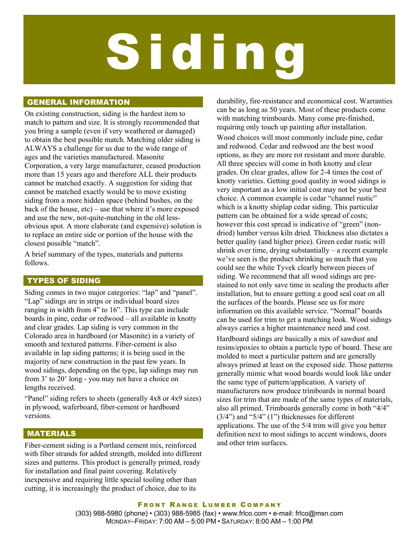# Siding

## GENERAL INFORMATION

On existing construction, siding is the hardest item to match to pattern and size. It is strongly recommended that you bring a sample (even if very weathered or damaged) to obtain the best possible match. Matching older siding is ALWAYS a challenge for us due to the wide range of ages and the varieties manufactured. Masonite Corporation, a very large manufacturer, ceased production more than 15 years ago and therefore ALL their products cannot be matched exactly. A suggestion for siding that cannot be matched exactly would be to move existing siding from a more hidden space (behind bushes, on the back of the house, etc) – use that where it's more exposed and use the new, not-quite-matching in the old lessobvious spot. A more elaborate (and expensive) solution is to replace an entire side or portion of the house with the closest possible "match".

A brief summary of the types, materials and patterns follows.

# TYPES OF SIDING

Siding comes in two major categories: "lap" and "panel". "Lap" sidings are in strips or individual board sizes ranging in width from 4" to 16". This type can include boards in pine, cedar or redwood – all available in knotty and clear grades. Lap siding is very common in the Colorado area in hardboard (or Masonite) in a variety of smooth and textured patterns. Fiber-cement is also available in lap siding patterns; it is being used in the majority of new construction in the past few years. In wood sidings, depending on the type, lap sidings may run from 3' to 20' long - you may not have a choice on lengths received.

"Panel" siding refers to sheets (generally 4x8 or 4x9 sizes) in plywood, waferboard, fiber-cement or hardboard versions.

## MATERIALS

Fiber-cement siding is a Portland cement mix, reinforced with fiber strands for added strength, molded into different sizes and patterns. This product is generally primed, ready for installation and final paint covering. Relatively inexpensive and requiring little special tooling other than cutting, it is increasingly the product of choice, due to its

durability, fire-resistance and economical cost. Warranties can be as long as 50 years. Most of these products come with matching trimboards. Many come pre-finished, requiring only touch up painting after installation.

Wood choices will most commonly include pine, cedar and redwood. Cedar and redwood are the best wood options, as they are more rot resistant and more durable. All three species will come in both knotty and clear grades. On clear grades, allow for 2-4 times the cost of knotty varieties. Getting good quality in wood sidings is very important as a low initial cost may not be your best choice. A common example is cedar "channel rustic" which is a knotty shiplap cedar siding. This particular pattern can be obtained for a wide spread of costs; however this cost spread is indicative of "green" (nondried) lumber versus kiln dried. Thickness also dictates a better quality (and higher price). Green cedar rustic will shrink over time, drying substantially – a recent example we've seen is the product shrinking so much that you could see the white Tyvek clearly between pieces of siding. We recommend that all wood sidings are prestained to not only save time in sealing the products after installation, but to ensure getting a good seal coat on all the surfaces of the boards. Please see us for more information on this available service. "Normal" boards can be used for trim to get a matching look. Wood sidings always carries a higher maintenance need and cost.

Hardboard sidings are basically a mix of sawdust and resins/epoxies to obtain a particle type of board. These are molded to meet a particular pattern and are generally always primed at least on the exposed side. Those patterns generally mimic what wood boards would look like under the same type of pattern/application. A variety of manufacturers now produce trimboards in normal board sizes for trim that are made of the same types of materials, also all primed. Trimboards generally come in both "4/4"  $(3/4)$  and "5/4"  $(1)$ " thicknesses for different applications. The use of the 5/4 trim will give you better definition next to most sidings to accent windows, doors and other trim surfaces.

#### FRONT RANGE LUMBER COMPANY (303) 988-5980 (phone) • (303) 988-5985 (fax) • www.frlco.com • e-mail: frlco@msn.com MONDAY–FRIDAY: 7:00 AM – 5:00 PM • SATURDAY: 8:00 AM – 1:00 PM